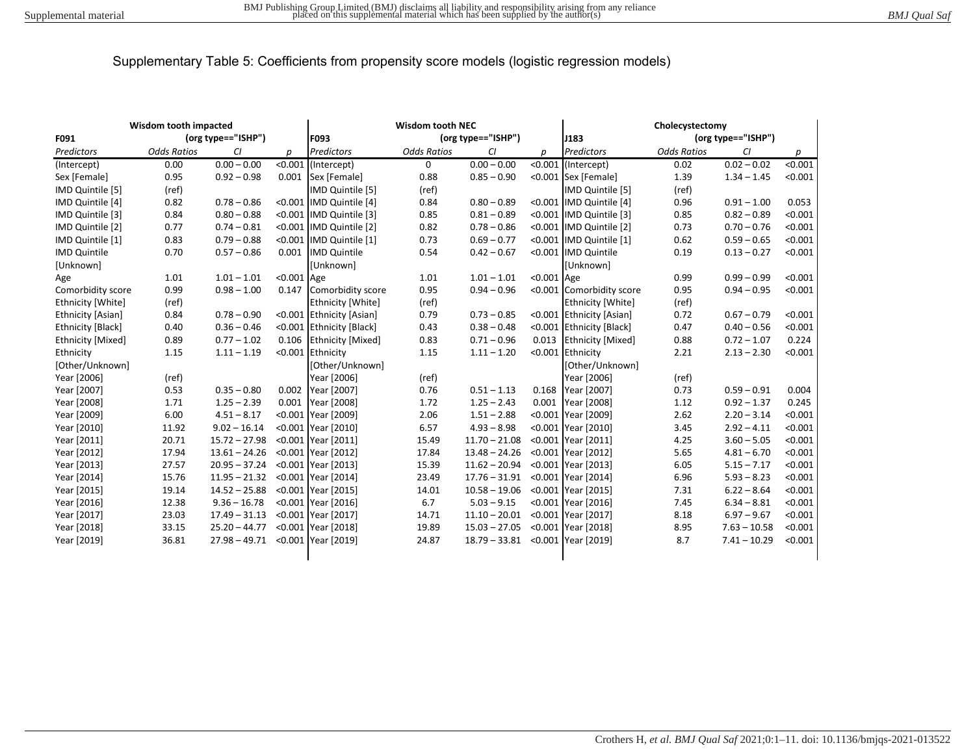| <b>Wisdom tooth impacted</b> |                    |                    | <b>Wisdom tooth NEC</b> |                            |                    |                 | Cholecystectomy |                          |                    |                |         |
|------------------------------|--------------------|--------------------|-------------------------|----------------------------|--------------------|-----------------|-----------------|--------------------------|--------------------|----------------|---------|
| F091                         |                    | (org type=="ISHP") |                         | (org type=="ISHP")<br>F093 |                    | J183            |                 | (org type=="ISHP")       |                    |                |         |
| Predictors                   | <b>Odds Ratios</b> | CI                 | n                       | Predictors                 | <b>Odds Ratios</b> | CI              | D               | Predictors               | <b>Odds Ratios</b> | CI             | р       |
| (Intercept)                  | 0.00               | $0.00 - 0.00$      |                         | <0.001 (Intercept)         | $\mathbf 0$        | $0.00 - 0.00$   |                 | <0.001 (Intercept)       | 0.02               | $0.02 - 0.02$  | < 0.001 |
| Sex [Female]                 | 0.95               | $0.92 - 0.98$      | 0.001                   | Sex [Female]               | 0.88               | $0.85 - 0.90$   |                 | <0.001 Sex [Female]      | 1.39               | $1.34 - 1.45$  | < 0.001 |
| IMD Quintile [5]             | (ref)              |                    |                         | IMD Quintile [5]           | (ref)              |                 |                 | IMD Quintile [5]         | (ref)              |                |         |
| IMD Quintile [4]             | 0.82               | $0.78 - 0.86$      |                         | <0.001 IMD Quintile [4]    | 0.84               | $0.80 - 0.89$   |                 | <0.001 IMD Quintile [4]  | 0.96               | $0.91 - 1.00$  | 0.053   |
| IMD Quintile [3]             | 0.84               | $0.80 - 0.88$      |                         | <0.001 IMD Quintile [3]    | 0.85               | $0.81 - 0.89$   |                 | <0.001 IMD Quintile [3]  | 0.85               | $0.82 - 0.89$  | < 0.001 |
| IMD Quintile [2]             | 0.77               | $0.74 - 0.81$      |                         | <0.001 IMD Quintile [2]    | 0.82               | $0.78 - 0.86$   |                 | <0.001 IMD Quintile [2]  | 0.73               | $0.70 - 0.76$  | < 0.001 |
| IMD Quintile [1]             | 0.83               | $0.79 - 0.88$      |                         | <0.001 IMD Quintile [1]    | 0.73               | $0.69 - 0.77$   |                 | <0.001 IMD Quintile [1]  | 0.62               | $0.59 - 0.65$  | < 0.001 |
| <b>IMD Quintile</b>          | 0.70               | $0.57 - 0.86$      |                         | 0.001 IMD Quintile         | 0.54               | $0.42 - 0.67$   |                 | <0.001 IMD Quintile      | 0.19               | $0.13 - 0.27$  | < 0.001 |
| [Unknown]                    |                    |                    |                         | <b>[Unknown]</b>           |                    |                 |                 | [Unknown]                |                    |                |         |
| Age                          | 1.01               | $1.01 - 1.01$      | <0.001 Age              |                            | 1.01               | $1.01 - 1.01$   | <0.001 Age      |                          | 0.99               | $0.99 - 0.99$  | < 0.001 |
| Comorbidity score            | 0.99               | $0.98 - 1.00$      |                         | 0.147 Comorbidity score    | 0.95               | $0.94 - 0.96$   |                 | <0.001 Comorbidity score | 0.95               | $0.94 - 0.95$  | < 0.001 |
| Ethnicity [White]            | (ref)              |                    |                         | Ethnicity [White]          | (ref)              |                 |                 | Ethnicity [White]        | (ref)              |                |         |
| <b>Ethnicity [Asian]</b>     | 0.84               | $0.78 - 0.90$      |                         | <0.001 Ethnicity [Asian]   | 0.79               | $0.73 - 0.85$   |                 | <0.001 Ethnicity [Asian] | 0.72               | $0.67 - 0.79$  | < 0.001 |
| Ethnicity [Black]            | 0.40               | $0.36 - 0.46$      |                         | <0.001 Ethnicity [Black]   | 0.43               | $0.38 - 0.48$   | < 0.001         | <b>Ethnicity [Black]</b> | 0.47               | $0.40 - 0.56$  | < 0.001 |
| Ethnicity [Mixed]            | 0.89               | $0.77 - 1.02$      |                         | 0.106 Ethnicity [Mixed]    | 0.83               | $0.71 - 0.96$   | 0.013           | <b>Ethnicity [Mixed]</b> | 0.88               | $0.72 - 1.07$  | 0.224   |
| Ethnicity                    | 1.15               | $1.11 - 1.19$      |                         | <0.001 Ethnicity           | 1.15               | $1.11 - 1.20$   |                 | <0.001 Ethnicity         | 2.21               | $2.13 - 2.30$  | < 0.001 |
| [Other/Unknown]              |                    |                    |                         | [Other/Unknown]            |                    |                 |                 | [Other/Unknown]          |                    |                |         |
| Year [2006]                  | (ref)              |                    |                         | Year [2006]                | (ref)              |                 |                 | Year [2006]              | (ref)              |                |         |
| Year [2007]                  | 0.53               | $0.35 - 0.80$      | 0.002                   | Year [2007]                | 0.76               | $0.51 - 1.13$   | 0.168           | Year [2007]              | 0.73               | $0.59 - 0.91$  | 0.004   |
| Year [2008]                  | 1.71               | $1.25 - 2.39$      | 0.001                   | Year [2008]                | 1.72               | $1.25 - 2.43$   | 0.001           | Year [2008]              | 1.12               | $0.92 - 1.37$  | 0.245   |
| Year [2009]                  | 6.00               | $4.51 - 8.17$      |                         | <0.001 Year [2009]         | 2.06               | $1.51 - 2.88$   |                 | <0.001 Year [2009]       | 2.62               | $2.20 - 3.14$  | < 0.001 |
| Year [2010]                  | 11.92              | $9.02 - 16.14$     |                         | <0.001 Year [2010]         | 6.57               | $4.93 - 8.98$   |                 | <0.001 Year [2010]       | 3.45               | $2.92 - 4.11$  | < 0.001 |
| Year [2011]                  | 20.71              | $15.72 - 27.98$    |                         | <0.001 Year [2011]         | 15.49              | $11.70 - 21.08$ |                 | <0.001 Year [2011]       | 4.25               | $3.60 - 5.05$  | < 0.001 |
| Year [2012]                  | 17.94              | $13.61 - 24.26$    |                         | <0.001 Year [2012]         | 17.84              | $13.48 - 24.26$ |                 | <0.001 Year [2012]       | 5.65               | $4.81 - 6.70$  | < 0.001 |
| Year [2013]                  | 27.57              | $20.95 - 37.24$    |                         | <0.001 Year [2013]         | 15.39              | $11.62 - 20.94$ |                 | <0.001 Year [2013]       | 6.05               | $5.15 - 7.17$  | < 0.001 |
| Year [2014]                  | 15.76              | $11.95 - 21.32$    |                         | <0.001 Year [2014]         | 23.49              | $17.76 - 31.91$ |                 | <0.001 Year [2014]       | 6.96               | $5.93 - 8.23$  | < 0.001 |
| Year [2015]                  | 19.14              | $14.52 - 25.88$    |                         | <0.001 Year [2015]         | 14.01              | $10.58 - 19.06$ |                 | <0.001 Year [2015]       | 7.31               | $6.22 - 8.64$  | < 0.001 |
| Year [2016]                  | 12.38              | $9.36 - 16.78$     |                         | <0.001 Year [2016]         | 6.7                | $5.03 - 9.15$   |                 | <0.001 Year [2016]       | 7.45               | $6.34 - 8.81$  | < 0.001 |
| Year [2017]                  | 23.03              | $17.49 - 31.13$    |                         | <0.001 Year [2017]         | 14.71              | $11.10 - 20.01$ |                 | <0.001 Year [2017]       | 8.18               | $6.97 - 9.67$  | < 0.001 |
| Year [2018]                  | 33.15              | $25.20 - 44.77$    |                         | <0.001 Year [2018]         | 19.89              | $15.03 - 27.05$ |                 | <0.001 Year [2018]       | 8.95               | $7.63 - 10.58$ | < 0.001 |
| Year [2019]                  | 36.81              | $27.98 - 49.71$    |                         | <0.001 Year [2019]         | 24.87              | $18.79 - 33.81$ |                 | <0.001 Year [2019]       | 8.7                | $7.41 - 10.29$ | < 0.001 |
|                              |                    |                    |                         |                            |                    |                 |                 |                          |                    |                |         |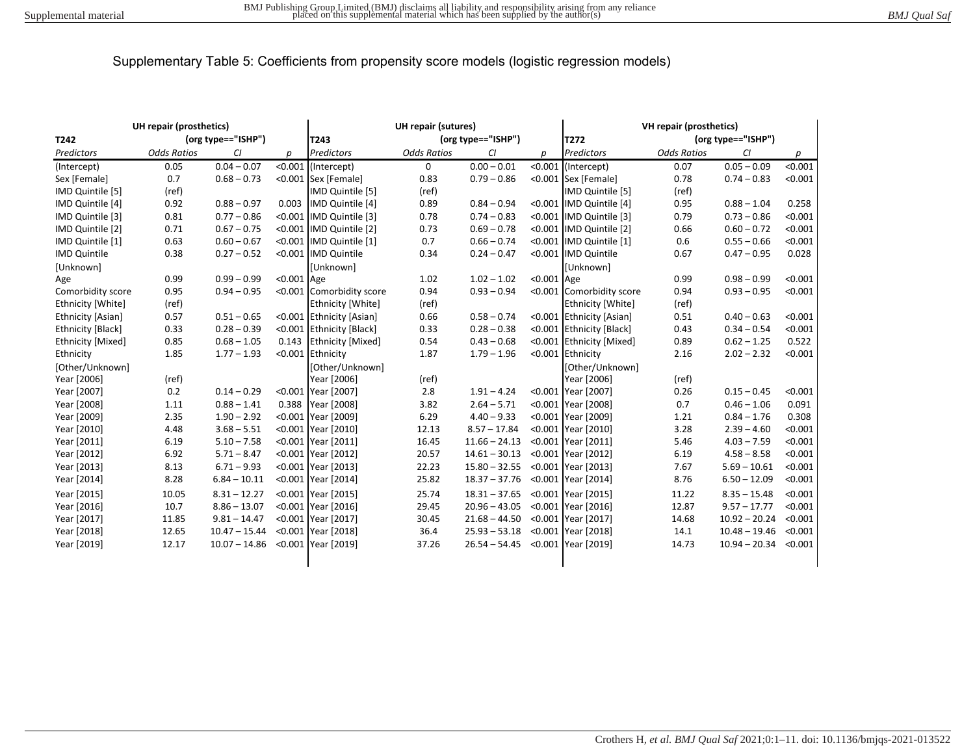| UH repair (prosthetics) |                    |                    | <b>UH repair (sutures)</b> |                            |                    |                 | VH repair (prosthetics) |                          |                    |                         |         |
|-------------------------|--------------------|--------------------|----------------------------|----------------------------|--------------------|-----------------|-------------------------|--------------------------|--------------------|-------------------------|---------|
| T242                    |                    | (org type=="ISHP") |                            | (org type=="ISHP")<br>T243 |                    |                 | T272                    |                          | (org type=="ISHP") |                         |         |
| Predictors              | <b>Odds Ratios</b> | CI                 | p                          | Predictors                 | <b>Odds Ratios</b> | CI              | р                       | <b>Predictors</b>        | <b>Odds Ratios</b> | CI                      | р       |
| (Intercept)             | 0.05               | $0.04 - 0.07$      |                            | $< 0.001$ (Intercept)      | 0                  | $0.00 - 0.01$   |                         | <0.001 (Intercept)       | 0.07               | $0.05 - 0.09$           | < 0.001 |
| Sex [Female]            | 0.7                | $0.68 - 0.73$      |                            | <0.001 Sex [Female]        | 0.83               | $0.79 - 0.86$   |                         | <0.001 Sex [Female]      | 0.78               | $0.74 - 0.83$           | < 0.001 |
| IMD Quintile [5]        | (ref)              |                    |                            | IMD Quintile [5]           | (ref)              |                 |                         | <b>IMD Quintile [5]</b>  | (ref)              |                         |         |
| IMD Quintile [4]        | 0.92               | $0.88 - 0.97$      | 0.003                      | IMD Quintile [4]           | 0.89               | $0.84 - 0.94$   |                         | <0.001 IMD Quintile [4]  | 0.95               | $0.88 - 1.04$           | 0.258   |
| IMD Quintile [3]        | 0.81               | $0.77 - 0.86$      |                            | <0.001 IMD Quintile [3]    | 0.78               | $0.74 - 0.83$   |                         | <0.001 IMD Quintile [3]  | 0.79               | $0.73 - 0.86$           | < 0.001 |
| IMD Quintile [2]        | 0.71               | $0.67 - 0.75$      |                            | <0.001 IMD Quintile [2]    | 0.73               | $0.69 - 0.78$   |                         | <0.001 IMD Quintile [2]  | 0.66               | $0.60 - 0.72$           | < 0.001 |
| IMD Quintile [1]        | 0.63               | $0.60 - 0.67$      |                            | <0.001 IMD Quintile [1]    | 0.7                | $0.66 - 0.74$   |                         | <0.001 IMD Quintile [1]  | 0.6                | $0.55 - 0.66$           | < 0.001 |
| <b>IMD Quintile</b>     | 0.38               | $0.27 - 0.52$      |                            | <0.001 IMD Quintile        | 0.34               | $0.24 - 0.47$   |                         | <0.001 IMD Quintile      | 0.67               | $0.47 - 0.95$           | 0.028   |
| [Unknown]               |                    |                    |                            | [Unknown]                  |                    |                 |                         | [Unknown]                |                    |                         |         |
| Age                     | 0.99               | $0.99 - 0.99$      | $< 0.001$ Age              |                            | 1.02               | $1.02 - 1.02$   | <0.001 Age              |                          | 0.99               | $0.98 - 0.99$           | < 0.001 |
| Comorbidity score       | 0.95               | $0.94 - 0.95$      |                            | <0.001 Comorbidity score   | 0.94               | $0.93 - 0.94$   |                         | <0.001 Comorbidity score | 0.94               | $0.93 - 0.95$           | < 0.001 |
| Ethnicity [White]       | (ref)              |                    |                            | <b>Ethnicity [White]</b>   | (ref)              |                 |                         | <b>Ethnicity [White]</b> | (ref)              |                         |         |
| Ethnicity [Asian]       | 0.57               | $0.51 - 0.65$      |                            | <0.001 Ethnicity [Asian]   | 0.66               | $0.58 - 0.74$   |                         | <0.001 Ethnicity [Asian] | 0.51               | $0.40 - 0.63$           | < 0.001 |
| Ethnicity [Black]       | 0.33               | $0.28 - 0.39$      |                            | <0.001 Ethnicity [Black]   | 0.33               | $0.28 - 0.38$   |                         | <0.001 Ethnicity [Black] | 0.43               | $0.34 - 0.54$           | < 0.001 |
| Ethnicity [Mixed]       | 0.85               | $0.68 - 1.05$      | 0.143                      | <b>Ethnicity [Mixed]</b>   | 0.54               | $0.43 - 0.68$   |                         | <0.001 Ethnicity [Mixed] | 0.89               | $0.62 - 1.25$           | 0.522   |
| Ethnicity               | 1.85               | $1.77 - 1.93$      |                            | <0.001 Ethnicity           | 1.87               | $1.79 - 1.96$   |                         | <0.001 Ethnicity         | 2.16               | $2.02 - 2.32$           | < 0.001 |
| [Other/Unknown]         |                    |                    |                            | [Other/Unknown]            |                    |                 |                         | [Other/Unknown]          |                    |                         |         |
| Year [2006]             | (ref)              |                    |                            | Year [2006]                | (ref)              |                 |                         | Year [2006]              | (ref)              |                         |         |
| Year [2007]             | 0.2                | $0.14 - 0.29$      |                            | <0.001 Year [2007]         | 2.8                | $1.91 - 4.24$   |                         | <0.001 Year [2007]       | 0.26               | $0.15 - 0.45$           | < 0.001 |
| Year [2008]             | 1.11               | $0.88 - 1.41$      | 0.388                      | Year [2008]                | 3.82               | $2.64 - 5.71$   |                         | <0.001 Year [2008]       | 0.7                | $0.46 - 1.06$           | 0.091   |
| Year [2009]             | 2.35               | $1.90 - 2.92$      |                            | <0.001 Year [2009]         | 6.29               | $4.40 - 9.33$   |                         | <0.001 Year [2009]       | 1.21               | $0.84 - 1.76$           | 0.308   |
| Year [2010]             | 4.48               | $3.68 - 5.51$      |                            | <0.001 Year [2010]         | 12.13              | $8.57 - 17.84$  |                         | <0.001 Year [2010]       | 3.28               | $2.39 - 4.60$           | < 0.001 |
| Year [2011]             | 6.19               | $5.10 - 7.58$      |                            | <0.001 Year [2011]         | 16.45              | $11.66 - 24.13$ |                         | <0.001 Year [2011]       | 5.46               | $4.03 - 7.59$           | < 0.001 |
| Year [2012]             | 6.92               | $5.71 - 8.47$      |                            | <0.001 Year [2012]         | 20.57              | $14.61 - 30.13$ |                         | <0.001 Year [2012]       | 6.19               | $4.58 - 8.58$           | < 0.001 |
| Year [2013]             | 8.13               | $6.71 - 9.93$      |                            | <0.001 Year [2013]         | 22.23              | $15.80 - 32.55$ |                         | <0.001 Year [2013]       | 7.67               | $5.69 - 10.61$          | < 0.001 |
| Year [2014]             | 8.28               | $6.84 - 10.11$     |                            | <0.001 Year [2014]         | 25.82              | $18.37 - 37.76$ |                         | <0.001 Year [2014]       | 8.76               | $6.50 - 12.09$          | < 0.001 |
| Year [2015]             | 10.05              | $8.31 - 12.27$     |                            | <0.001 Year [2015]         | 25.74              | $18.31 - 37.65$ |                         | <0.001 Year [2015]       | 11.22              | $8.35 - 15.48$          | < 0.001 |
| Year [2016]             | 10.7               | $8.86 - 13.07$     |                            | <0.001 Year [2016]         | 29.45              | $20.96 - 43.05$ |                         | <0.001 Year [2016]       | 12.87              | $9.57 - 17.77$          | < 0.001 |
| Year [2017]             | 11.85              | $9.81 - 14.47$     |                            | <0.001 Year [2017]         | 30.45              | $21.68 - 44.50$ |                         | <0.001 Year [2017]       | 14.68              | $10.92 - 20.24$         | < 0.001 |
| Year [2018]             | 12.65              | $10.47 - 15.44$    |                            | <0.001 Year [2018]         | 36.4               | $25.93 - 53.18$ |                         | <0.001 Year [2018]       | 14.1               | $10.48 - 19.46$         | < 0.001 |
| Year [2019]             | 12.17              | $10.07 - 14.86$    |                            | <0.001 Year [2019]         | 37.26              | $26.54 - 54.45$ |                         | <0.001 Year [2019]       | 14.73              | $10.94 - 20.34 < 0.001$ |         |
|                         |                    |                    |                            |                            |                    |                 |                         |                          |                    |                         |         |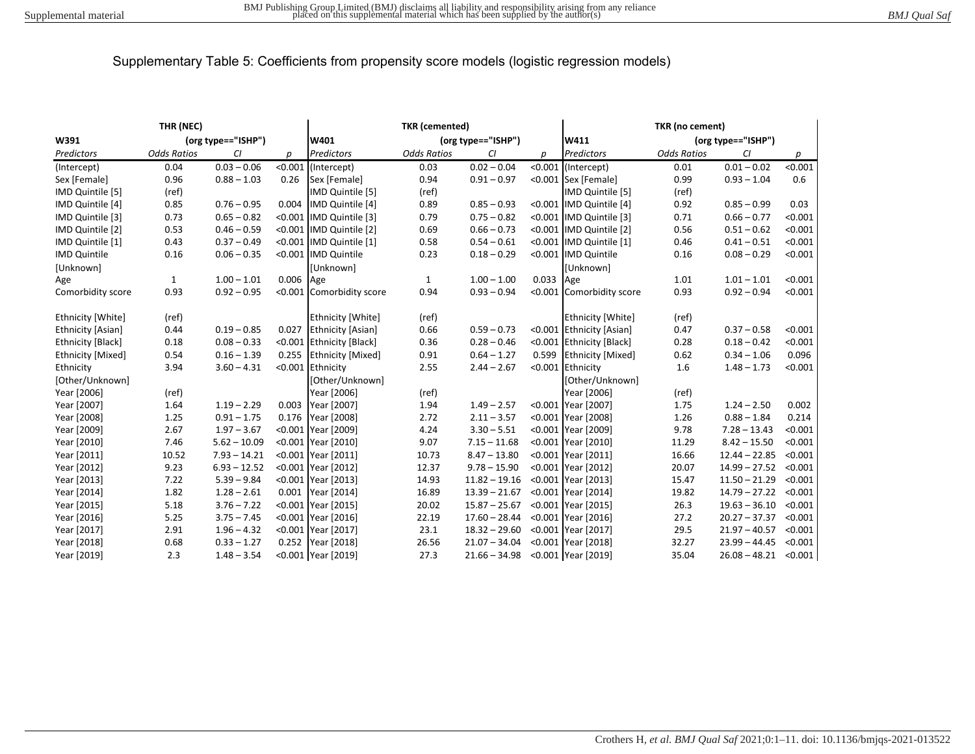| THR (NEC)           |                    |                |           | <b>TKR</b> (cemented)      |                    |                 |           | TKR (no cement)          |                    |                         |         |
|---------------------|--------------------|----------------|-----------|----------------------------|--------------------|-----------------|-----------|--------------------------|--------------------|-------------------------|---------|
| W391                | (org type=="ISHP") |                |           | (org type=="ISHP")<br>W401 |                    |                 | W411      |                          | (org type=="ISHP") |                         |         |
| Predictors          | <b>Odds Ratios</b> | CI             | р         | Predictors                 | <b>Odds Ratios</b> | CI              | р         | Predictors               | <b>Odds Ratios</b> | CI                      | p       |
| (Intercept)         | 0.04               | $0.03 - 0.06$  |           | <0.001 (Intercept)         | 0.03               | $0.02 - 0.04$   |           | <0.001 (Intercept)       | 0.01               | $0.01 - 0.02$           | < 0.001 |
| Sex [Female]        | 0.96               | $0.88 - 1.03$  | 0.26      | Sex [Female]               | 0.94               | $0.91 - 0.97$   |           | <0.001 Sex [Female]      | 0.99               | $0.93 - 1.04$           | 0.6     |
| IMD Quintile [5]    | (ref)              |                |           | IMD Quintile [5]           | (ref)              |                 |           | IMD Quintile [5]         | (ref)              |                         |         |
| IMD Quintile [4]    | 0.85               | $0.76 - 0.95$  |           | 0.004 IMD Quintile [4]     | 0.89               | $0.85 - 0.93$   |           | <0.001  IMD Quintile [4] | 0.92               | $0.85 - 0.99$           | 0.03    |
| IMD Quintile [3]    | 0.73               | $0.65 - 0.82$  |           | <0.001 IMD Quintile [3]    | 0.79               | $0.75 - 0.82$   |           | <0.001 IMD Quintile [3]  | 0.71               | $0.66 - 0.77$           | < 0.001 |
| IMD Quintile [2]    | 0.53               | $0.46 - 0.59$  |           | <0.001 IMD Quintile [2]    | 0.69               | $0.66 - 0.73$   |           | <0.001 IMD Quintile [2]  | 0.56               | $0.51 - 0.62$           | < 0.001 |
| IMD Quintile [1]    | 0.43               | $0.37 - 0.49$  |           | <0.001 IMD Quintile [1]    | 0.58               | $0.54 - 0.61$   |           | <0.001 IMD Quintile [1]  | 0.46               | $0.41 - 0.51$           | < 0.001 |
| <b>IMD Quintile</b> | 0.16               | $0.06 - 0.35$  |           | <0.001 IMD Quintile        | 0.23               | $0.18 - 0.29$   |           | <0.001 IMD Quintile      | 0.16               | $0.08 - 0.29$           | < 0.001 |
| [Unknown]           |                    |                |           | [Unknown]                  |                    |                 |           | [Unknown]                |                    |                         |         |
| Age                 | $\mathbf{1}$       | $1.00 - 1.01$  | 0.006 Age |                            | $\mathbf{1}$       | $1.00 - 1.00$   | 0.033 Age |                          | 1.01               | $1.01 - 1.01$           | < 0.001 |
| Comorbidity score   | 0.93               | $0.92 - 0.95$  |           | <0.001 Comorbidity score   | 0.94               | $0.93 - 0.94$   |           | <0.001 Comorbidity score | 0.93               | $0.92 - 0.94$           | < 0.001 |
| Ethnicity [White]   | (ref)              |                |           | <b>Ethnicity [White]</b>   | (ref)              |                 |           | <b>Ethnicity [White]</b> | (ref)              |                         |         |
| Ethnicity [Asian]   | 0.44               | $0.19 - 0.85$  |           | 0.027 Ethnicity [Asian]    | 0.66               | $0.59 - 0.73$   |           | <0.001 Ethnicity [Asian] | 0.47               | $0.37 - 0.58$           | < 0.001 |
| Ethnicity [Black]   | 0.18               | $0.08 - 0.33$  |           | <0.001 Ethnicity [Black]   | 0.36               | $0.28 - 0.46$   |           | <0.001 Ethnicity [Black] | 0.28               | $0.18 - 0.42$           | < 0.001 |
| Ethnicity [Mixed]   | 0.54               | $0.16 - 1.39$  |           | 0.255 Ethnicity [Mixed]    | 0.91               | $0.64 - 1.27$   | 0.599     | <b>Ethnicity [Mixed]</b> | 0.62               | $0.34 - 1.06$           | 0.096   |
| Ethnicity           | 3.94               | $3.60 - 4.31$  |           | <0.001 Ethnicity           | 2.55               | $2.44 - 2.67$   |           | <0.001 Ethnicity         | 1.6                | $1.48 - 1.73$           | < 0.001 |
| [Other/Unknown]     |                    |                |           | [Other/Unknown]            |                    |                 |           | [Other/Unknown]          |                    |                         |         |
| Year [2006]         | (ref)              |                |           | Year [2006]                | (ref)              |                 |           | Year [2006]              | (ref)              |                         |         |
| Year [2007]         | 1.64               | $1.19 - 2.29$  | 0.003     | Year [2007]                | 1.94               | $1.49 - 2.57$   |           | <0.001 Year [2007]       | 1.75               | $1.24 - 2.50$           | 0.002   |
| Year [2008]         | 1.25               | $0.91 - 1.75$  |           | 0.176 Year [2008]          | 2.72               | $2.11 - 3.57$   |           | <0.001 Year [2008]       | 1.26               | $0.88 - 1.84$           | 0.214   |
| Year [2009]         | 2.67               | $1.97 - 3.67$  |           | <0.001 Year [2009]         | 4.24               | $3.30 - 5.51$   |           | <0.001 Year [2009]       | 9.78               | $7.28 - 13.43$          | < 0.001 |
| Year [2010]         | 7.46               | $5.62 - 10.09$ |           | <0.001 Year [2010]         | 9.07               | $7.15 - 11.68$  |           | <0.001 Year [2010]       | 11.29              | $8.42 - 15.50$          | < 0.001 |
| Year [2011]         | 10.52              | $7.93 - 14.21$ |           | <0.001 Year [2011]         | 10.73              | $8.47 - 13.80$  |           | <0.001 Year [2011]       | 16.66              | $12.44 - 22.85$         | < 0.001 |
| Year [2012]         | 9.23               | $6.93 - 12.52$ |           | <0.001 Year [2012]         | 12.37              | $9.78 - 15.90$  |           | <0.001 Year [2012]       | 20.07              | $14.99 - 27.52$         | < 0.001 |
| Year [2013]         | 7.22               | $5.39 - 9.84$  |           | <0.001 Year [2013]         | 14.93              | $11.82 - 19.16$ |           | <0.001 Year [2013]       | 15.47              | $11.50 - 21.29$         | < 0.001 |
| Year [2014]         | 1.82               | $1.28 - 2.61$  |           | 0.001 Year [2014]          | 16.89              | $13.39 - 21.67$ |           | <0.001 Year [2014]       | 19.82              | $14.79 - 27.22$         | < 0.001 |
| Year [2015]         | 5.18               | $3.76 - 7.22$  |           | <0.001 Year [2015]         | 20.02              | $15.87 - 25.67$ |           | <0.001 Year [2015]       | 26.3               | $19.63 - 36.10$         | < 0.001 |
| Year [2016]         | 5.25               | $3.75 - 7.45$  |           | <0.001 Year [2016]         | 22.19              | $17.60 - 28.44$ |           | <0.001 Year [2016]       | 27.2               | $20.27 - 37.37$         | < 0.001 |
| Year [2017]         | 2.91               | $1.96 - 4.32$  |           | <0.001 Year [2017]         | 23.1               | $18.32 - 29.60$ |           | <0.001 Year [2017]       | 29.5               | $21.97 - 40.57$         | < 0.001 |
| Year [2018]         | 0.68               | $0.33 - 1.27$  |           | 0.252 Year [2018]          | 26.56              | $21.07 - 34.04$ |           | <0.001 Year [2018]       | 32.27              | $23.99 - 44.45$         | < 0.001 |
| Year [2019]         | 2.3                | $1.48 - 3.54$  |           | <0.001 Year [2019]         | 27.3               | $21.66 - 34.98$ |           | <0.001 Year [2019]       | 35.04              | $26.08 - 48.21$ < 0.001 |         |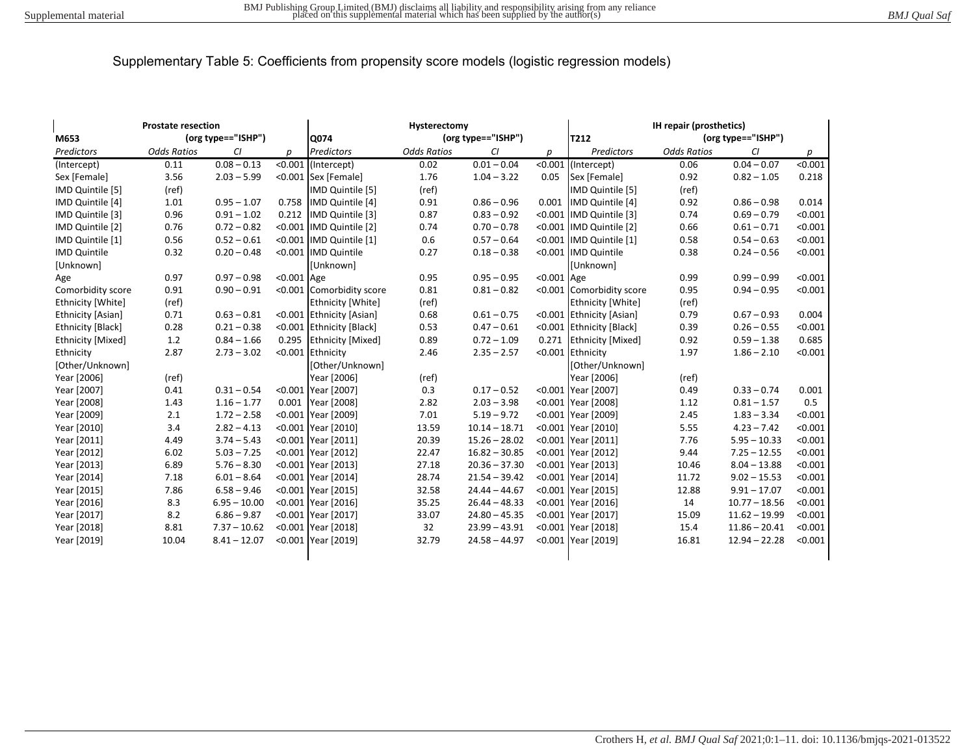| M653                | <b>Prostate resection</b><br>(org type=="ISHP") |                |            | Hysterectomy<br>(org type=="ISHP")<br>Q074 |                    |                 |               | IH repair (prosthetics)<br>(org type=="ISHP")<br>T212 |                    |                 |         |
|---------------------|-------------------------------------------------|----------------|------------|--------------------------------------------|--------------------|-----------------|---------------|-------------------------------------------------------|--------------------|-----------------|---------|
| Predictors          | <b>Odds Ratios</b>                              | CI             | D          | <b>Predictors</b>                          | <b>Odds Ratios</b> | CI              | D             | Predictors                                            | <b>Odds Ratios</b> | CI              | р       |
| (Intercept)         | 0.11                                            | $0.08 - 0.13$  |            | <0.001 (Intercept)                         | 0.02               | $0.01 - 0.04$   | < 0.001       | (Intercept)                                           | 0.06               | $0.04 - 0.07$   | < 0.001 |
| Sex [Female]        | 3.56                                            | $2.03 - 5.99$  |            | <0.001 Sex [Female]                        | 1.76               | $1.04 - 3.22$   | 0.05          | Sex [Female]                                          | 0.92               | $0.82 - 1.05$   | 0.218   |
| IMD Quintile [5]    | (ref)                                           |                |            | IMD Quintile [5]                           | (ref)              |                 |               | IMD Quintile [5]                                      | (ref)              |                 |         |
| IMD Quintile [4]    | 1.01                                            | $0.95 - 1.07$  |            | 0.758 IMD Quintile [4]                     | 0.91               | $0.86 - 0.96$   | 0.001         | IMD Quintile [4]                                      | 0.92               | $0.86 - 0.98$   | 0.014   |
| IMD Quintile [3]    | 0.96                                            | $0.91 - 1.02$  | 0.212      | IMD Quintile [3]                           | 0.87               | $0.83 - 0.92$   |               | <0.001 IMD Quintile [3]                               | 0.74               | $0.69 - 0.79$   | < 0.001 |
| IMD Quintile [2]    | 0.76                                            | $0.72 - 0.82$  |            | <0.001 IMD Quintile [2]                    | 0.74               | $0.70 - 0.78$   |               | <0.001 IMD Quintile [2]                               | 0.66               | $0.61 - 0.71$   | < 0.001 |
| IMD Quintile [1]    | 0.56                                            | $0.52 - 0.61$  |            | <0.001 IMD Quintile [1]                    | 0.6                | $0.57 - 0.64$   |               | <0.001 IMD Quintile [1]                               | 0.58               | $0.54 - 0.63$   | < 0.001 |
| <b>IMD Quintile</b> | 0.32                                            | $0.20 - 0.48$  |            | <0.001 IMD Quintile                        | 0.27               | $0.18 - 0.38$   |               | <0.001 IMD Quintile                                   | 0.38               | $0.24 - 0.56$   | < 0.001 |
| [Unknown]           |                                                 |                |            | <b>[Unknown]</b>                           |                    |                 |               | [Unknown]                                             |                    |                 |         |
| Age                 | 0.97                                            | $0.97 - 0.98$  | <0.001 Age |                                            | 0.95               | $0.95 - 0.95$   | $< 0.001$ Age |                                                       | 0.99               | $0.99 - 0.99$   | < 0.001 |
| Comorbidity score   | 0.91                                            | $0.90 - 0.91$  |            | <0.001 Comorbidity score                   | 0.81               | $0.81 - 0.82$   |               | <0.001 Comorbidity score                              | 0.95               | $0.94 - 0.95$   | < 0.001 |
| Ethnicity [White]   | (ref)                                           |                |            | <b>Ethnicity [White]</b>                   | (ref)              |                 |               | <b>Ethnicity [White]</b>                              | (ref)              |                 |         |
| Ethnicity [Asian]   | 0.71                                            | $0.63 - 0.81$  |            | <0.001 Ethnicity [Asian]                   | 0.68               | $0.61 - 0.75$   |               | <0.001 Ethnicity [Asian]                              | 0.79               | $0.67 - 0.93$   | 0.004   |
| Ethnicity [Black]   | 0.28                                            | $0.21 - 0.38$  |            | <0.001 Ethnicity [Black]                   | 0.53               | $0.47 - 0.61$   |               | <0.001 Ethnicity [Black]                              | 0.39               | $0.26 - 0.55$   | < 0.001 |
| Ethnicity [Mixed]   | 1.2                                             | $0.84 - 1.66$  |            | 0.295 Ethnicity [Mixed]                    | 0.89               | $0.72 - 1.09$   | 0.271         | <b>Ethnicity [Mixed]</b>                              | 0.92               | $0.59 - 1.38$   | 0.685   |
| Ethnicity           | 2.87                                            | $2.73 - 3.02$  |            | <0.001 Ethnicity                           | 2.46               | $2.35 - 2.57$   | < 0.001       | Ethnicity                                             | 1.97               | $1.86 - 2.10$   | < 0.001 |
| [Other/Unknown]     |                                                 |                |            | [Other/Unknown]                            |                    |                 |               | [Other/Unknown]                                       |                    |                 |         |
| Year [2006]         | (ref)                                           |                |            | Year [2006]                                | (ref)              |                 |               | Year [2006]                                           | (ref)              |                 |         |
| Year [2007]         | 0.41                                            | $0.31 - 0.54$  |            | <0.001 Year [2007]                         | 0.3                | $0.17 - 0.52$   |               | <0.001 Year [2007]                                    | 0.49               | $0.33 - 0.74$   | 0.001   |
| Year [2008]         | 1.43                                            | $1.16 - 1.77$  |            | 0.001 Year [2008]                          | 2.82               | $2.03 - 3.98$   |               | <0.001 Year [2008]                                    | 1.12               | $0.81 - 1.57$   | 0.5     |
| Year [2009]         | 2.1                                             | $1.72 - 2.58$  |            | <0.001 Year [2009]                         | 7.01               | $5.19 - 9.72$   |               | <0.001 Year [2009]                                    | 2.45               | $1.83 - 3.34$   | < 0.001 |
| Year [2010]         | 3.4                                             | $2.82 - 4.13$  |            | <0.001 Year [2010]                         | 13.59              | $10.14 - 18.71$ |               | <0.001 Year [2010]                                    | 5.55               | $4.23 - 7.42$   | < 0.001 |
| Year [2011]         | 4.49                                            | $3.74 - 5.43$  |            | <0.001 Year [2011]                         | 20.39              | $15.26 - 28.02$ |               | <0.001 Year [2011]                                    | 7.76               | $5.95 - 10.33$  | < 0.001 |
| Year [2012]         | 6.02                                            | $5.03 - 7.25$  |            | <0.001 Year [2012]                         | 22.47              | $16.82 - 30.85$ |               | <0.001 Year [2012]                                    | 9.44               | $7.25 - 12.55$  | < 0.001 |
| Year [2013]         | 6.89                                            | $5.76 - 8.30$  |            | <0.001 Year [2013]                         | 27.18              | $20.36 - 37.30$ |               | <0.001 Year [2013]                                    | 10.46              | $8.04 - 13.88$  | < 0.001 |
| Year [2014]         | 7.18                                            | $6.01 - 8.64$  |            | <0.001 Year [2014]                         | 28.74              | $21.54 - 39.42$ |               | <0.001 Year [2014]                                    | 11.72              | $9.02 - 15.53$  | < 0.001 |
| Year [2015]         | 7.86                                            | $6.58 - 9.46$  |            | <0.001 Year [2015]                         | 32.58              | $24.44 - 44.67$ |               | <0.001 Year [2015]                                    | 12.88              | $9.91 - 17.07$  | < 0.001 |
| Year [2016]         | 8.3                                             | $6.95 - 10.00$ |            | <0.001 Year [2016]                         | 35.25              | $26.44 - 48.33$ |               | <0.001 Year [2016]                                    | 14                 | $10.77 - 18.56$ | < 0.001 |
| Year [2017]         | 8.2                                             | $6.86 - 9.87$  |            | <0.001 Year [2017]                         | 33.07              | $24.80 - 45.35$ |               | <0.001 Year [2017]                                    | 15.09              | $11.62 - 19.99$ | < 0.001 |
| Year [2018]         | 8.81                                            | $7.37 - 10.62$ |            | <0.001 Year [2018]                         | 32                 | $23.99 - 43.91$ |               | <0.001 Year [2018]                                    | 15.4               | $11.86 - 20.41$ | < 0.001 |
| Year [2019]         | 10.04                                           | $8.41 - 12.07$ |            | <0.001 Year [2019]                         | 32.79              | $24.58 - 44.97$ |               | <0.001 Year [2019]                                    | 16.81              | $12.94 - 22.28$ | < 0.001 |
|                     |                                                 |                |            |                                            |                    |                 |               |                                                       |                    |                 |         |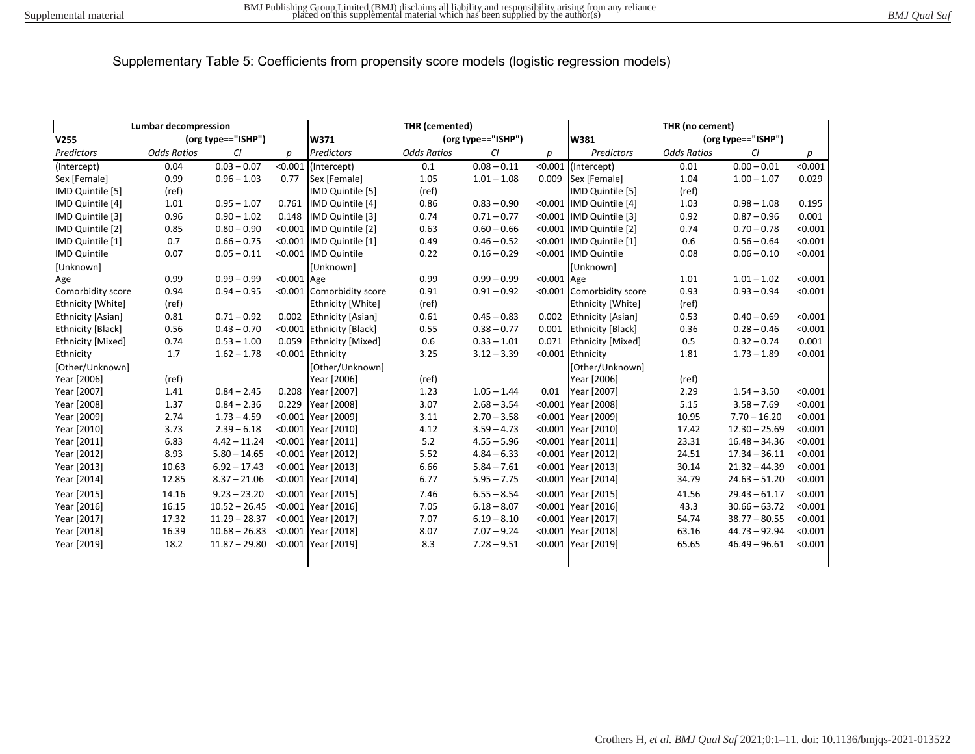| <b>Lumbar decompression</b><br>(org type=="ISHP") |                    |                 |            | THR (cemented)<br>(org type=="ISHP") |                    |               |            | THR (no cement)<br>(org type=="ISHP")<br>W381 |                    |                 |         |
|---------------------------------------------------|--------------------|-----------------|------------|--------------------------------------|--------------------|---------------|------------|-----------------------------------------------|--------------------|-----------------|---------|
| V255                                              |                    |                 |            | W371                                 |                    |               |            |                                               |                    |                 |         |
| Predictors                                        | <b>Odds Ratios</b> | CI              | р          | <b>Predictors</b>                    | <b>Odds Ratios</b> | CI            | р          | Predictors                                    | <b>Odds Ratios</b> | CI              | р       |
| (Intercept)                                       | 0.04               | $0.03 - 0.07$   | < 0.001    | (Intercept)                          | 0.1                | $0.08 - 0.11$ | < 0.001    | (Intercept)                                   | 0.01               | $0.00 - 0.01$   | < 0.001 |
| Sex [Female]                                      | 0.99               | $0.96 - 1.03$   | 0.77       | Sex [Female]                         | 1.05               | $1.01 - 1.08$ | 0.009      | Sex [Female]                                  | 1.04               | $1.00 - 1.07$   | 0.029   |
| IMD Quintile [5]                                  | (ref)              |                 |            | IMD Quintile [5]                     | (ref)              |               |            | IMD Quintile [5]                              | (ref)              |                 |         |
| IMD Quintile [4]                                  | 1.01               | $0.95 - 1.07$   | 0.761      | IMD Quintile [4]                     | 0.86               | $0.83 - 0.90$ |            | <0.001 IMD Quintile [4]                       | 1.03               | $0.98 - 1.08$   | 0.195   |
| IMD Quintile [3]                                  | 0.96               | $0.90 - 1.02$   | 0.148      | IMD Quintile [3]                     | 0.74               | $0.71 - 0.77$ |            | <0.001 IMD Quintile [3]                       | 0.92               | $0.87 - 0.96$   | 0.001   |
| IMD Quintile [2]                                  | 0.85               | $0.80 - 0.90$   |            | <0.001 IMD Quintile [2]              | 0.63               | $0.60 - 0.66$ |            | <0.001 IMD Quintile [2]                       | 0.74               | $0.70 - 0.78$   | < 0.001 |
| IMD Quintile [1]                                  | 0.7                | $0.66 - 0.75$   |            | <0.001  IMD Quintile [1]             | 0.49               | $0.46 - 0.52$ |            | <0.001 IMD Quintile [1]                       | 0.6                | $0.56 - 0.64$   | < 0.001 |
| <b>IMD Quintile</b>                               | 0.07               | $0.05 - 0.11$   |            | <0.001 IMD Quintile                  | 0.22               | $0.16 - 0.29$ |            | <0.001 IMD Quintile                           | 0.08               | $0.06 - 0.10$   | < 0.001 |
| [Unknown]                                         |                    |                 |            | [Unknown]                            |                    |               |            | [Unknown]                                     |                    |                 |         |
| Age                                               | 0.99               | $0.99 - 0.99$   | <0.001 Age |                                      | 0.99               | $0.99 - 0.99$ | <0.001 Age |                                               | 1.01               | $1.01 - 1.02$   | < 0.001 |
| Comorbidity score                                 | 0.94               | $0.94 - 0.95$   |            | <0.001 Comorbidity score             | 0.91               | $0.91 - 0.92$ |            | <0.001 Comorbidity score                      | 0.93               | $0.93 - 0.94$   | < 0.001 |
| Ethnicity [White]                                 | (ref)              |                 |            | <b>Ethnicity [White]</b>             | (ref)              |               |            | <b>Ethnicity [White]</b>                      | (ref)              |                 |         |
| Ethnicity [Asian]                                 | 0.81               | $0.71 - 0.92$   | 0.002      | <b>Ethnicity [Asian]</b>             | 0.61               | $0.45 - 0.83$ | 0.002      | <b>Ethnicity [Asian]</b>                      | 0.53               | $0.40 - 0.69$   | < 0.001 |
| Ethnicity [Black]                                 | 0.56               | $0.43 - 0.70$   |            | <0.001 Ethnicity [Black]             | 0.55               | $0.38 - 0.77$ | 0.001      | <b>Ethnicity [Black]</b>                      | 0.36               | $0.28 - 0.46$   | < 0.001 |
| Ethnicity [Mixed]                                 | 0.74               | $0.53 - 1.00$   | 0.059      | <b>Ethnicity [Mixed]</b>             | 0.6                | $0.33 - 1.01$ | 0.071      | <b>Ethnicity [Mixed]</b>                      | 0.5                | $0.32 - 0.74$   | 0.001   |
| Ethnicity                                         | 1.7                | $1.62 - 1.78$   |            | <0.001 Ethnicity                     | 3.25               | $3.12 - 3.39$ | < 0.001    | Ethnicity                                     | 1.81               | $1.73 - 1.89$   | < 0.001 |
| [Other/Unknown]                                   |                    |                 |            | [Other/Unknown]                      |                    |               |            | [Other/Unknown]                               |                    |                 |         |
| Year [2006]                                       | (ref)              |                 |            | Year [2006]                          | (ref)              |               |            | Year [2006]                                   | (ref)              |                 |         |
| Year [2007]                                       | 1.41               | $0.84 - 2.45$   | 0.208      | Year [2007]                          | 1.23               | $1.05 - 1.44$ | 0.01       | Year [2007]                                   | 2.29               | $1.54 - 3.50$   | < 0.001 |
| Year [2008]                                       | 1.37               | $0.84 - 2.36$   | 0.229      | Year [2008]                          | 3.07               | $2.68 - 3.54$ |            | <0.001 Year [2008]                            | 5.15               | $3.58 - 7.69$   | < 0.001 |
| Year [2009]                                       | 2.74               | $1.73 - 4.59$   |            | <0.001 Year [2009]                   | 3.11               | $2.70 - 3.58$ |            | <0.001 Year [2009]                            | 10.95              | $7.70 - 16.20$  | < 0.001 |
| Year [2010]                                       | 3.73               | $2.39 - 6.18$   |            | <0.001 Year [2010]                   | 4.12               | $3.59 - 4.73$ |            | <0.001 Year [2010]                            | 17.42              | $12.30 - 25.69$ | < 0.001 |
| Year [2011]                                       | 6.83               | $4.42 - 11.24$  |            | <0.001 Year [2011]                   | 5.2                | $4.55 - 5.96$ |            | <0.001 Year [2011]                            | 23.31              | $16.48 - 34.36$ | < 0.001 |
| Year [2012]                                       | 8.93               | $5.80 - 14.65$  |            | <0.001 Year [2012]                   | 5.52               | $4.84 - 6.33$ |            | <0.001 Year [2012]                            | 24.51              | $17.34 - 36.11$ | < 0.001 |
| Year [2013]                                       | 10.63              | $6.92 - 17.43$  |            | <0.001 Year [2013]                   | 6.66               | $5.84 - 7.61$ |            | <0.001 Year [2013]                            | 30.14              | $21.32 - 44.39$ | < 0.001 |
| Year [2014]                                       | 12.85              | $8.37 - 21.06$  |            | <0.001 Year [2014]                   | 6.77               | $5.95 - 7.75$ |            | <0.001 Year [2014]                            | 34.79              | $24.63 - 51.20$ | < 0.001 |
| Year [2015]                                       | 14.16              | $9.23 - 23.20$  |            | <0.001 Year [2015]                   | 7.46               | $6.55 - 8.54$ |            | <0.001 Year [2015]                            | 41.56              | $29.43 - 61.17$ | < 0.001 |
| Year [2016]                                       | 16.15              | $10.52 - 26.45$ |            | <0.001 Year [2016]                   | 7.05               | $6.18 - 8.07$ |            | <0.001 Year [2016]                            | 43.3               | $30.66 - 63.72$ | < 0.001 |
| Year [2017]                                       | 17.32              | $11.29 - 28.37$ |            | <0.001 Year [2017]                   | 7.07               | $6.19 - 8.10$ |            | <0.001 Year [2017]                            | 54.74              | $38.77 - 80.55$ | < 0.001 |
| Year [2018]                                       | 16.39              | $10.68 - 26.83$ |            | <0.001 Year [2018]                   | 8.07               | $7.07 - 9.24$ |            | <0.001 Year [2018]                            | 63.16              | $44.73 - 92.94$ | < 0.001 |
| Year [2019]                                       | 18.2               | $11.87 - 29.80$ |            | <0.001 Year [2019]                   | 8.3                | $7.28 - 9.51$ |            | <0.001 Year [2019]                            | 65.65              | $46.49 - 96.61$ | < 0.001 |
|                                                   |                    |                 |            |                                      |                    |               |            |                                               |                    |                 |         |